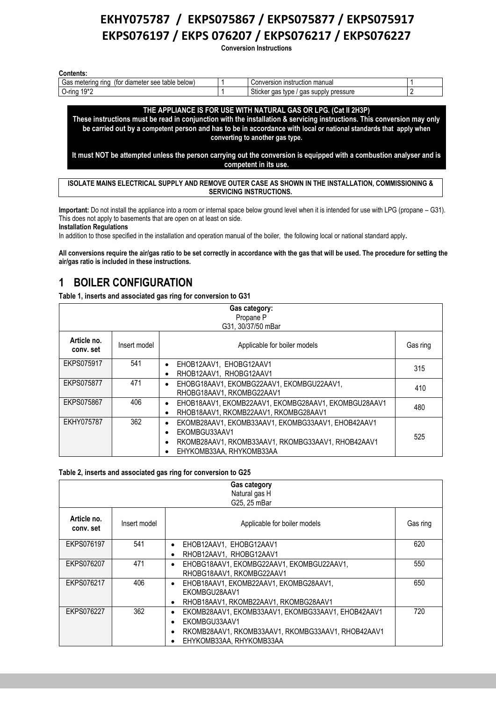**Conversion Instructions** 

| <b>Contents:</b>                                                   |  |                                                  |  |  |
|--------------------------------------------------------------------|--|--------------------------------------------------|--|--|
| below)<br>Gas<br>metering<br>table<br>diameter see<br>rino<br>(for |  | n instruction manual<br>Conversion               |  |  |
| 10*2<br>-rına<br>' ''ک                                             |  | Sticker gas<br>pressure<br>supply<br>type<br>aas |  |  |

**THE APPLIANCE IS FOR USE WITH NATURAL GAS OR LPG. (Cat II 2H3P) These instructions must be read in conjunction with the installation & servicing instructions. This conversion may only be carried out by a competent person and has to be in accordance with local or national standards that apply when converting to another gas type.**

**It must NOT be attempted unless the person carrying out the conversion is equipped with a combustion analyser and is competent in its use.**

**ISOLATE MAINS ELECTRICAL SUPPLY AND REMOVE OUTER CASE AS SHOWN IN THE INSTALLATION, COMMISSIONING & SERVICING INSTRUCTIONS.**

**Important:** Do not install the appliance into a room or internal space below ground level when it is intended for use with LPG (propane – G31). This does not apply to basements that are open on at least on side. **Installation Regulations**

In addition to those specified in the installation and operation manual of the boiler, the following local or national standard apply**.**

**All conversions require the air/gas ratio to be set correctly in accordance with the gas that will be used. The procedure for setting the air/gas ratio is included in these instructions.**

### **1 BOILER CONFIGURATION**

**Table 1, inserts and associated gas ring for conversion to G31**

| Gas category:<br>Propane P<br>G31, 30/37/50 mBar |              |                                                                                                                                                       |          |
|--------------------------------------------------|--------------|-------------------------------------------------------------------------------------------------------------------------------------------------------|----------|
| Article no.<br>conv. set                         | Insert model | Applicable for boiler models                                                                                                                          | Gas ring |
| <b>EKPS075917</b>                                | 541          | EHOB12AAV1, EHOBG12AAV1<br>$\bullet$<br>RHOB12AAV1. RHOBG12AAV1                                                                                       | 315      |
| EKPS075877                                       | 471          | EHOBG18AAV1, EKOMBG22AAV1, EKOMBGU22AAV1,<br>RHOBG18AAV1, RKOMBG22AAV1                                                                                | 410      |
| <b>EKPS075867</b>                                | 406          | EHOB18AAV1, EKOMB22AAV1, EKOMBG28AAV1, EKOMBGU28AAV1<br>RHOB18AAV1, RKOMB22AAV1, RKOMBG28AAV1                                                         | 480      |
| EKHY075787                                       | 362          | EKOMB28AAV1, EKOMB33AAV1, EKOMBG33AAV1, EHOB42AAV1<br>EKOMBGU33AAV1<br>RKOMB28AAV1, RKOMB33AAV1, RKOMBG33AAV1, RHOB42AAV1<br>EHYKOMB33AA, RHYKOMB33AA | 525      |

#### **Table 2, inserts and associated gas ring for conversion to G25**

| Gas category<br>Natural gas H<br>G25, 25 mBar |              |                                                                                                                                                                      |          |
|-----------------------------------------------|--------------|----------------------------------------------------------------------------------------------------------------------------------------------------------------------|----------|
| Article no.<br>conv. set                      | Insert model | Applicable for boiler models                                                                                                                                         | Gas ring |
| EKPS076197                                    | 541          | EHOB12AAV1, EHOBG12AAV1<br>$\bullet$<br>RHOB12AAV1, RHOBG12AAV1<br>٠                                                                                                 | 620      |
| EKPS076207                                    | 471          | EHOBG18AAV1, EKOMBG22AAV1, EKOMBGU22AAV1,<br>٠<br>RHOBG18AAV1, RKOMBG22AAV1                                                                                          | 550      |
| EKPS076217                                    | 406          | EHOB18AAV1, EKOMB22AAV1, EKOMBG28AAV1,<br>$\bullet$<br>EKOMBGU28AAV1<br>RHOB18AAV1, RKOMB22AAV1, RKOMBG28AAV1<br>٠                                                   | 650      |
| EKPS076227                                    | 362          | EKOMB28AAV1, EKOMB33AAV1, EKOMBG33AAV1, EHOB42AAV1<br>٠<br>EKOMBGU33AAV1<br>٠<br>RKOMB28AAV1, RKOMB33AAV1, RKOMBG33AAV1, RHOB42AAV1<br>٠<br>EHYKOMB33AA, RHYKOMB33AA | 720      |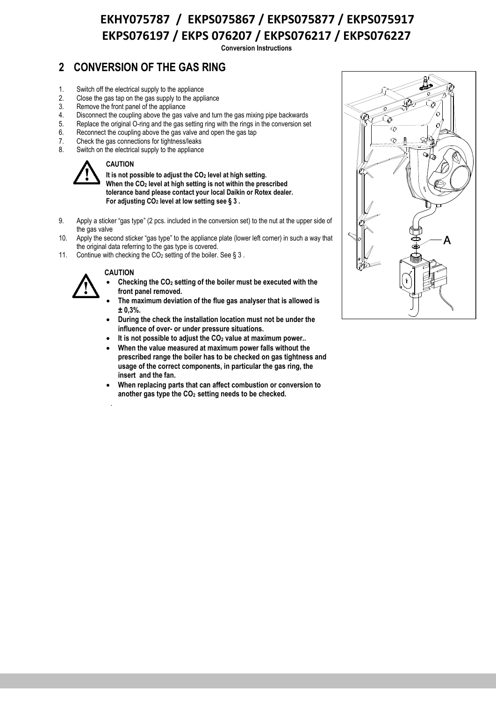**Conversion Instructions** 

## **2 CONVERSION OF THE GAS RING**

- 1. Switch off the electrical supply to the appliance
- 2. Close the gas tap on the gas supply to the appliance
- 3. Remove the front panel of the appliance<br>4. Disconnect the coupling above the gas v
- Disconnect the coupling above the gas valve and turn the gas mixing pipe backwards
- 5. Replace the original O-ring and the gas setting ring with the rings in the conversion set
- 6. Reconnect the coupling above the gas valve and open the gas tap
- 7. Check the gas connections for tightness/leaks<br>8. Switch on the electrical supply to the appliance
- Switch on the electrical supply to the appliance



#### **CAUTION**

**It is not possible to adjust the CO<sup>2</sup> level at high setting. When the CO<sup>2</sup> level at high setting is not within the prescribed tolerance band please contact your local Daikin or Rotex dealer. For adjusting CO<sup>2</sup> level at low setting see [§ 3](#page-2-0) .**

- 9. Apply a sticker "gas type" (2 pcs. included in the conversion set) to the nut at the upper side of the gas valve
- 10. Apply the second sticker "gas type" to the appliance plate (lower left corner) in such a way that the original data referring to the gas type is covered.
- 11. Continue with checking the  $CO<sub>2</sub>$  setting of the boiler. See § [3](#page-2-0).

#### **CAUTION**

.



- **Checking the CO<sup>2</sup> setting of the boiler must be executed with the front panel removed.**
- **The maximum deviation of the flue gas analyser that is allowed is ± 0,3%.**
- **During the check the installation location must not be under the influence of over- or under pressure situations.**
- **It is not possible to adjust the CO<sup>2</sup> value at maximum power..**
- **When the value measured at maximum power falls without the prescribed range the boiler has to be checked on gas tightness and usage of the correct components, in particular the gas ring, the insert and the fan.**
- **When replacing parts that can affect combustion or conversion to another gas type the CO2 setting needs to be checked.**

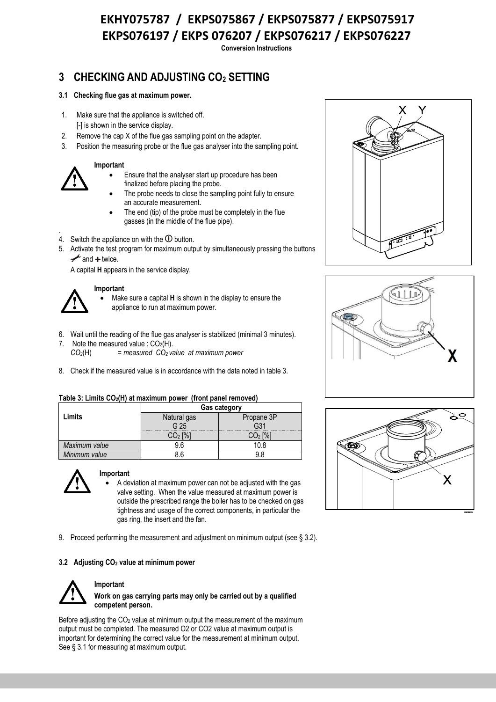**Conversion Instructions** 

## <span id="page-2-0"></span>**3 CHECKING AND ADJUSTING CO<sup>2</sup> SETTING**

#### <span id="page-2-1"></span>**3.1 Checking flue gas at maximum power.**

- 1. Make sure that the appliance is switched off. [-] is shown in the service display.
- 2. Remove the cap X of the flue gas sampling point on the adapter.
- 3. Position the measuring probe or the flue gas analyser into the sampling point.

#### **Important**

- Ensure that the analyser start up procedure has been finalized before placing the probe.
- The probe needs to close the sampling point fully to ensure an accurate measurement.
- The end (tip) of the probe must be completely in the flue gasses (in the middle of the flue pipe).
- . 4. Switch the appliance on with the  $\Phi$  button.
- 5. Activate the test program for maximum output by simultaneously pressing the buttons  $\rightarrow$  and  $+$  twice.

A capital **H** appears in the service display.

# **Important**

- Make sure a capital **H** is shown in the display to ensure the appliance to run at maximum power.
- 6. Wait until the reading of the flue gas analyser is stabilized (minimal 3 minutes).
- 7. Note the measured value :  $CO<sub>2</sub>(H)$ .
	- *CO2*(H) *= measured CO<sup>2</sup> value at maximum power*
- 8. Check if the measured value is in accordance with the data noted in table 3.

#### **Table 3: Limits CO2(H) at maximum power (front panel removed)**

|               | <b>Gas category</b> |            |  |  |
|---------------|---------------------|------------|--|--|
| Limits        | Natural gas         | Propane 3P |  |  |
|               | G <sub>25</sub>     |            |  |  |
|               |                     |            |  |  |
| Maximum value |                     |            |  |  |
| Minimum value |                     |            |  |  |



#### **Important**

- A deviation at maximum power can not be adjusted with the gas valve setting. When the value measured at maximum power is outside the prescribed range the boiler has to be checked on gas tightness and usage of the correct components, in particular the gas ring, the insert and the fan.
- 9. Proceed performing the measurement and adjustment on minimum output (see § 3.2).

#### **3.2 Adjusting CO<sup>2</sup> value at minimum power**



#### **Important**

**Work on gas carrying parts may only be carried out by a qualified competent person.**

Before adjusting the  $CO<sub>2</sub>$  value at minimum output the measurement of the maximum output must be completed. The measured O2 or CO2 value at maximum output is important for determining the correct value for the measurement at minimum output. See § 3.1 for measuring at maximum output.